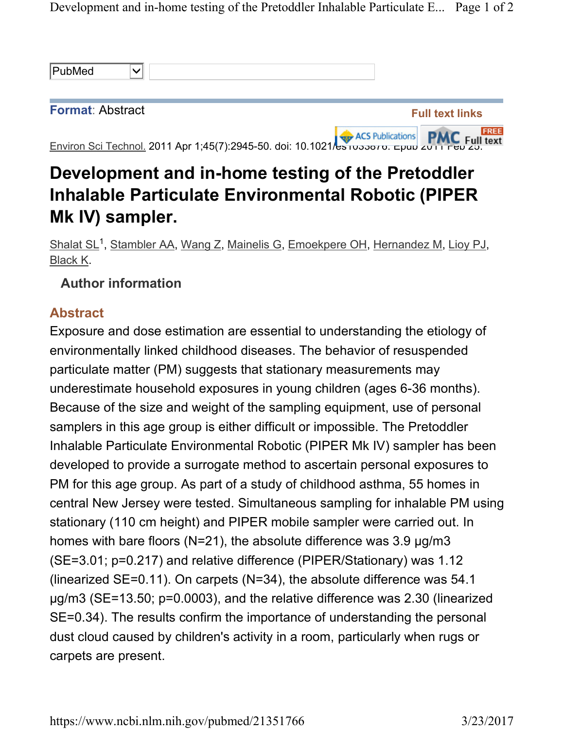Development and in-home testing of the Pretoddler Inhalable Particulate E... Page 1 of 2

| PubMed                  | v |  |                        |
|-------------------------|---|--|------------------------|
|                         |   |  |                        |
| <b>Format: Abstract</b> |   |  | <b>Full text links</b> |

Environ Sci Technol. 2011 Apr 1;45(7):2945-50. doi: 10.1021/es1033876. Epub 2011 Feb 25.

## Development and in-home testing of the Pretoddler Inhalable Particulate Environmental Robotic (PIPER Mk IV) sampler.

Shalat SL<sup>1</sup>, Stambler AA, Wang Z, Mainelis G, Emoekpere OH, Hernandez M, Lioy PJ, Black K.

## Author information

## Abstract

Exposure and dose estimation are essential to understanding the etiology of environmentally linked childhood diseases. The behavior of resuspended particulate matter (PM) suggests that stationary measurements may underestimate household exposures in young children (ages 6-36 months). Because of the size and weight of the sampling equipment, use of personal samplers in this age group is either difficult or impossible. The Pretoddler Inhalable Particulate Environmental Robotic (PIPER Mk IV) sampler has been developed to provide a surrogate method to ascertain personal exposures to PM for this age group. As part of a study of childhood asthma, 55 homes in central New Jersey were tested. Simultaneous sampling for inhalable PM using stationary (110 cm height) and PIPER mobile sampler were carried out. In homes with bare floors (N=21), the absolute difference was 3.9 μg/m3 (SE=3.01; p=0.217) and relative difference (PIPER/Stationary) was 1.12 (linearized SE=0.11). On carpets (N=34), the absolute difference was 54.1 μg/m3 (SE=13.50; p=0.0003), and the relative difference was 2.30 (linearized SE=0.34). The results confirm the importance of understanding the personal dust cloud caused by children's activity in a room, particularly when rugs or carpets are present.